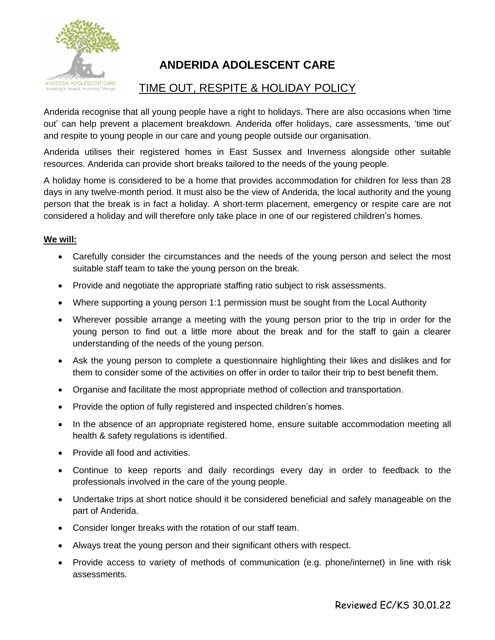

## **ANDERIDA ADOLESCENT CARE**

## TIME OUT, RESPITE & HOLIDAY POLICY

Anderida recognise that all young people have a right to holidays. There are also occasions when 'time out' can help prevent a placement breakdown. Anderida offer holidays, care assessments, 'time out' and respite to young people in our care and young people outside our organisation.

Anderida utilises their registered homes in East Sussex and Inverness alongside other suitable resources. Anderida can provide short breaks tailored to the needs of the young people.

A holiday home is considered to be a home that provides accommodation for children for less than 28 days in any twelve-month period. It must also be the view of Anderida, the local authority and the young person that the break is in fact a holiday. A short-term placement, emergency or respite care are not considered a holiday and will therefore only take place in one of our registered children's homes.

## **We will:**

- Carefully consider the circumstances and the needs of the young person and select the most suitable staff team to take the young person on the break.
- Provide and negotiate the appropriate staffing ratio subject to risk assessments.
- Where supporting a young person 1:1 permission must be sought from the Local Authority
- Wherever possible arrange a meeting with the young person prior to the trip in order for the young person to find out a little more about the break and for the staff to gain a clearer understanding of the needs of the young person.
- Ask the young person to complete a questionnaire highlighting their likes and dislikes and for them to consider some of the activities on offer in order to tailor their trip to best benefit them.
- Organise and facilitate the most appropriate method of collection and transportation.
- Provide the option of fully registered and inspected children's homes.
- In the absence of an appropriate registered home, ensure suitable accommodation meeting all health & safety regulations is identified.
- Provide all food and activities.
- Continue to keep reports and daily recordings every day in order to feedback to the professionals involved in the care of the young people.
- Undertake trips at short notice should it be considered beneficial and safely manageable on the part of Anderida.
- Consider longer breaks with the rotation of our staff team.
- Always treat the young person and their significant others with respect.
- Provide access to variety of methods of communication (e.g. phone/internet) in line with risk assessments.